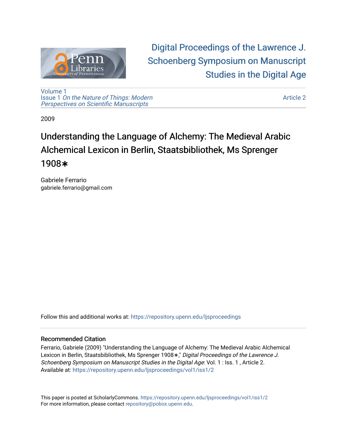

[Digital Proceedings of the Lawrence J.](https://repository.upenn.edu/ljsproceedings)  [Schoenberg Symposium on Manuscript](https://repository.upenn.edu/ljsproceedings)  [Studies in the Digital Age](https://repository.upenn.edu/ljsproceedings) 

[Volume 1](https://repository.upenn.edu/ljsproceedings/vol1) Issue 1 [On the Nature of Things: Modern](https://repository.upenn.edu/ljsproceedings/vol1/iss1) [Perspectives on Scientific Manuscripts](https://repository.upenn.edu/ljsproceedings/vol1/iss1)

[Article 2](https://repository.upenn.edu/ljsproceedings/vol1/iss1/2) 

2009

# Understanding the Language of Alchemy: The Medieval Arabic Alchemical Lexicon in Berlin, Staatsbibliothek, Ms Sprenger 1908**∗**

Gabriele Ferrario gabriele.ferrario@gmail.com

Follow this and additional works at: [https://repository.upenn.edu/ljsproceedings](https://repository.upenn.edu/ljsproceedings?utm_source=repository.upenn.edu%2Fljsproceedings%2Fvol1%2Fiss1%2F2&utm_medium=PDF&utm_campaign=PDFCoverPages)

#### Recommended Citation

Ferrario, Gabriele (2009) "Understanding the Language of Alchemy: The Medieval Arabic Alchemical Lexicon in Berlin, Staatsbibliothek, Ms Sprenger 1908<sup>\*</sup>," Digital Proceedings of the Lawrence J. Schoenberg Symposium on Manuscript Studies in the Digital Age: Vol. 1 : Iss. 1 , Article 2. Available at: [https://repository.upenn.edu/ljsproceedings/vol1/iss1/2](https://repository.upenn.edu/ljsproceedings/vol1/iss1/2?utm_source=repository.upenn.edu%2Fljsproceedings%2Fvol1%2Fiss1%2F2&utm_medium=PDF&utm_campaign=PDFCoverPages) 

This paper is posted at ScholarlyCommons.<https://repository.upenn.edu/ljsproceedings/vol1/iss1/2> For more information, please contact [repository@pobox.upenn.edu.](mailto:repository@pobox.upenn.edu)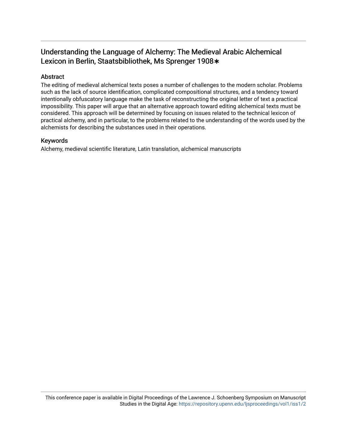## Understanding the Language of Alchemy: The Medieval Arabic Alchemical Lexicon in Berlin, Staatsbibliothek, Ms Sprenger 1908**∗**

#### Abstract

The editing of medieval alchemical texts poses a number of challenges to the modern scholar. Problems such as the lack of source identification, complicated compositional structures, and a tendency toward intentionally obfuscatory language make the task of reconstructing the original letter of text a practical impossibility. This paper will argue that an alternative approach toward editing alchemical texts must be considered. This approach will be determined by focusing on issues related to the technical lexicon of practical alchemy, and in particular, to the problems related to the understanding of the words used by the alchemists for describing the substances used in their operations.

#### Keywords

Alchemy, medieval scientific literature, Latin translation, alchemical manuscripts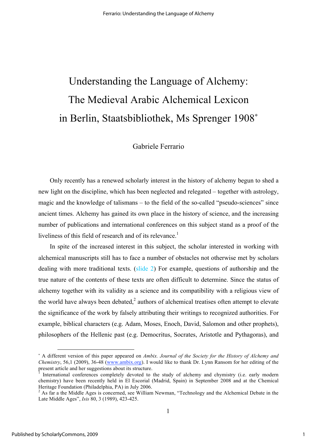# Understanding the Language of Alchemy: The Medieval Arabic Alchemical Lexicon in Berlin, Staatsbibliothek, Ms Sprenger 1908<sup>∗</sup>

### Gabriele Ferrario

Only recently has a renewed scholarly interest in the history of alchemy begun to shed a new light on the discipline, which has been neglected and relegated – together with astrology, magic and the knowledge of talismans – to the field of the so-called "pseudo-sciences" since ancient times. Alchemy has gained its own place in the history of science, and the increasing number of publications and international conferences on this subject stand as a proof of the liveliness of this field of research and of its relevance.<sup>1</sup>

In spite of the increased interest in this subject, the scholar interested in working with alchemical manuscripts still has to face a number of obstacles not otherwise met by scholars dealing with more traditional texts. (slide 2) For example, questions of authorship and the true nature of the contents of these texts are often difficult to determine. Since the status of alchemy together with its validity as a science and its compatibility with a religious view of the world have always been debated, $\lambda^2$  authors of alchemical treatises often attempt to elevate the significance of the work by falsely attributing their writings to recognized authorities. For example, biblical characters (e.g. Adam, Moses, Enoch, David, Salomon and other prophets), philosophers of the Hellenic past (e.g. Democritus, Socrates, Aristotle and Pythagoras), and

 $\overline{a}$ 

<sup>∗</sup> A different version of this paper appeared on *Ambix. Journal of the Society for the History of Alchemy and Chemistry*, 56,1 (2009), 36-48 (www.ambix.org). I would like to thank Dr. Lynn Ransom for her editing of the present article and her suggestions about its structure.

International conferences completely devoted to the study of alchemy and chymistry (i.e. early modern chemistry) have been recently held in El Escorial (Madrid, Spain) in September 2008 and at the Chemical Heritage Foundation (Philadelphia, PA) in July 2006.

 $2$  As far a the Middle Ages is concerned, see William Newman, "Technology and the Alchemical Debate in the Late Middle Ages", *Isis* 80, 3 (1989), 423-425.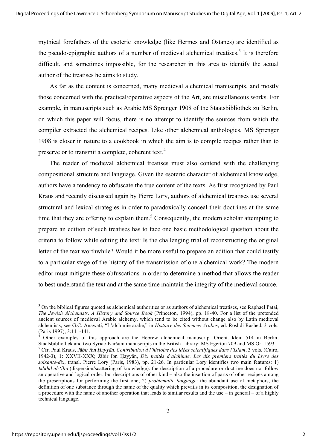mythical forefathers of the esoteric knowledge (like Hermes and Ostanes) are identified as the pseudo-epigraphic authors of a number of medieval alchemical treatises.<sup>3</sup> It is therefore difficult, and sometimes impossible, for the researcher in this area to identify the actual author of the treatises he aims to study.

As far as the content is concerned, many medieval alchemical manuscripts, and mostly those concerned with the practical/operative aspects of the Art, are miscellaneous works. For example, in manuscripts such as Arabic MS Sprenger 1908 of the Staatsbibliothek zu Berlin, on which this paper will focus, there is no attempt to identify the sources from which the compiler extracted the alchemical recipes. Like other alchemical anthologies, MS Sprenger 1908 is closer in nature to a cookbook in which the aim is to compile recipes rather than to preserve or to transmit a complete, coherent text.<sup>4</sup>

The reader of medieval alchemical treatises must also contend with the challenging compositional structure and language. Given the esoteric character of alchemical knowledge, authors have a tendency to obfuscate the true content of the texts. As first recognized by Paul Kraus and recently discussed again by Pierre Lory, authors of alchemical treatises use several structural and lexical strategies in order to paradoxically conceal their doctrines at the same time that they are offering to explain them.<sup>5</sup> Consequently, the modern scholar attempting to prepare an edition of such treatises has to face one basic methodological question about the criteria to follow while editing the text: Is the challenging trial of reconstructing the original letter of the text worthwhile? Would it be more useful to prepare an edition that could testify to a particular stage of the history of the transmission of one alchemical work? The modern editor must mitigate these obfuscations in order to determine a method that allows the reader to best understand the text and at the same time maintain the integrity of the medieval source.

 $3$  On the biblical figures quoted as alchemical authorities or as authors of alchemical treatises, see Raphael Patai, *The Jewish Alchemists*. *A History and Source Book* (Princeton, 1994), pp. 18-40. For a list of the pretended ancient sources of medieval Arabic alchemy, which tend to be cited without change also by Latin medieval alchemists, see G.C. Anawati, "L'alchimie arabe," in *Histoire des Sciences Arabes*, ed. Roshdi Rashed, 3 vols. (Paris 1997), 3:111-141. <sup>4</sup>

Other examples of this approach are the Hebrew alchemical manuscript Orient. klein 514 in Berlin, Staatsbibliothek and two Syriac-Karšuni manuscripts in the British Library: MS Egerton 709 and MS Or. 1593. <sup>5</sup> Cfr. Paul Kraus, Jābir ibn Hayyān. Contribution à l'histoire des idées scientifiques dans l'Islam, 3 vols. (Cairo, 1942-3), 1: XXVII-XXX; Jābir ibn Hayyān, *Dix traités d'alchimie. Les dix premiers traités du Livre des soixante-dix*, transl. Pierre Lory (Paris, 1983), pp. 21-26. In particular Lory identifies two main features: 1) tabdīd al-'ilm (dispersion/scattering of knowledge): the description of a procedure or doctrine does not follow an operative and logical order, but descriptions of other kind – also the insertion of parts of other recipes among the prescriptions for performing the first one; 2) *problematic language*: the abundant use of metaphors, the definition of one substance through the name of the quality which prevails in its composition, the designation of a procedure with the name of another operation that leads to similar results and the use – in general – of a highly technical language.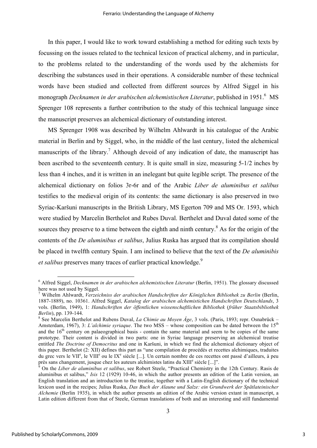In this paper, I would like to work toward establishing a method for editing such texts by focussing on the issues related to the technical lexicon of practical alchemy, and in particular, to the problems related to the understanding of the words used by the alchemists for describing the substances used in their operations. A considerable number of these technical words have been studied and collected from different sources by Alfred Siggel in his monograph *Decknamen in der arabischen alchemistischen Literatur*, published in 1951.<sup>6</sup> MS Sprenger 108 represents a further contribution to the study of this technical language since the manuscript preserves an alchemical dictionary of outstanding interest.

MS Sprenger 1908 was described by Wilhelm Ahlwardt in his catalogue of the Arabic material in Berlin and by Siggel, who, in the middle of the last century, listed the alchemical manuscripts of the library.<sup>7</sup> Although devoid of any indication of date, the manuscript has been ascribed to the seventeenth century. It is quite small in size, measuring 5-1/2 inches by less than 4 inches, and it is written in an inelegant but quite legible script. The presence of the alchemical dictionary on folios 3r-6r and of the Arabic *Liber de aluminibus et salibus* testifies to the medieval origin of its contents: the same dictionary is also preserved in two Syriac-Karšuni manuscripts in the British Library, MS Egerton 709 and MS Or. 1593, which were studied by Marcelin Berthelot and Rubes Duval. Berthelet and Duval dated some of the sources they preserve to a time between the eighth and ninth century.<sup>8</sup> As for the origin of the contents of the *De aluminibus et salibus*, Julius Ruska has argued that its compilation should be placed in twelfth century Spain. I am inclined to believe that the text of the *De aluminibis*  et salibus preserves many traces of earlier practical knowledge.<sup>9</sup>

 <sup>6</sup> Alfred Siggel, *Decknamen in der arabischen alchemistischen Literatur* (Berlin, 1951). The glossary discussed here was not used by Siggel.<br><sup>7</sup> Wilhelm Ahlwardt, *Verzeichniss der arabischen Handschriften der Königlichen Bibliothek zu Berlin* (Berlin,

<sup>1887-1889),</sup> no. 10361. Alfred Siggel, *Katalog der arabischen alchemistichen Handschriften Deutschlands*, 3 vols. (Berlin, 1949), 1: *Handschriften der öffentlichen wissenschaftlichen Bibliothek* (*früher Staatsbibliothek Berlin*), pp. 139-144.

<sup>&</sup>lt;sup>8</sup> See Marcelin Berthelot and Rubens Duval, *La Chimie au Moyen Âge*, 3 vols. (Paris, 1893; repr. Osnabrück – Amsterdam, 1967), 3: *L'alchimie syriaque*. The two MSS – whose composition can be dated between the 15<sup>th</sup> and the  $16<sup>th</sup>$  century on palaeographical basis - contain the same material and seem to be copies of the same prototype. Their content is divided in two parts: one in Syriac language preserving an alchemical treatise entitled *The Doctrine of Democritus* and one in Karšuni, in which we find the alchemical dictionary object of this paper. Berthelot (2: XII) defines this part as "une compilation de procédés et recettes alchimiques, traduites du grec vers le VII<sup>e</sup>, le VIII<sup>e</sup> ou le IX<sup>e</sup> siècle [...]. Un certain nombre de ces recettes ont passé d'ailleurs, à peu près sans changement, jusque chez les auteurs alchimistes latins du XIII<sup>e</sup> siècle [...]".

On the *Liber de aluminibus et salibus*, see Robert Steele, "Practical Chemistry in the 12th Century. Rasis de aluminibus et salibus," *Isis* 12 (1929) 10-46, in which the author presents an edition of the Latin version, an English translation and an introduction to the treatise, together with a Latin-English dictionary of the technical lexicon used in the recipes; Julius Ruska, *Das Buch der Alaune und Salze: ein Grundwerk der Spätlateinischer Alchemie* (Berlin 1935), in which the author presents an edition of the Arabic version extant in manuscript, a Latin edition different from that of Steele, German translations of both and an interesting and still fundamental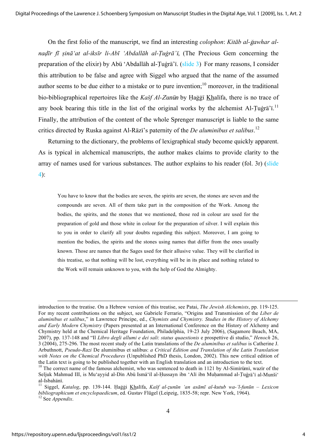On the first folio of the manuscript, we find an interesting *colophon*: *Kitāb al-ğawhar al*nadīr fī sinā at al-iksīr li-Abī 'Abdallāh al-Tugrā'ī, (The Precious Gem concerning the preparation of the elixir) by Ab $\bar{u}$  'Abdallah al-Tuġra'<sub>1</sub>. (slide 3) For many reasons, I consider this attribution to be false and agree with Siggel who argued that the name of the assumed author seems to be due either to a mistake or to pure invention;  $10$  moreover, in the traditional bio-bibliographical repertoires like the *Kašf Al-Zunūn* by Hağğī Khalīfa, there is no trace of any book bearing this title in the list of the original works by the alchemist Al-Tuġrā' $\overline{i}$ .<sup>11</sup> Finally, the attribution of the content of the whole Sprenger manuscript is liable to the same critics directed by Ruska against Al-Rāzī's paternity of the *De aluminibus et salibus*.<sup>12</sup>

Returning to the dictionary, the problems of lexigraphical study become quickly apparent. As is typical in alchemical manuscripts, the author makes claims to provide clarity to the array of names used for various substances. The author explains to his reader (fol. 3r) (slide 4):

You have to know that the bodies are seven, the spirits are seven, the stones are seven and the compounds are seven. All of them take part in the composition of the Work. Among the bodies, the spirits, and the stones that we mentioned, those red in colour are used for the preparation of gold and those white in colour for the preparation of silver. I will explain this to you in order to clarify all your doubts regarding this subject. Moreover, I am going to mention the bodies, the spirits and the stones using names that differ from the ones usually known. Those are names that the Sages used for their allusive value. They will be clarified in this treatise, so that nothing will be lost, everything will be in its place and nothing related to the Work will remain unknown to you, with the help of God the Almighty.

introduction to the treatise. On a Hebrew version of this treatise, see Patai, *The Jewish Alchemists*, pp. 119-125. For my recent contributions on the subject, see Gabriele Ferrario, "Origins and Transmission of the *Liber de aluminibus et salibus*," in Lawrence Principe, ed., *Chymists and Chymistry. Studies in the History of Alchemy and Early Modern Chymistry* (Papers presented at an International Conference on the History of Alchemy and Chymistry held at the Chemical Heritage Foundation, Philadelphia, 19-23 July 2006), (Sagamore Beach, MA, 2007), pp. 137-148 and "Il *Libro degli allumi e dei sali*: *status quaestionis* e prospettive di studio," *Henoch* 26, 3 (2004), 275-296. The most recent study of the Latin translations of the *De aluminibus et salibus* is Catherine J. Arbuthnott, *Pseudo-Razi* De aluminibus et salibus: *a Critical Edition and Translation of the Latin Translation with Notes on the Chemical Procedures* (Unpublished PhD thesis, London, 2002). This new critical edition of the Latin text is going to be published together with an English translation and an introduction to the text.

 $10$  The correct name of the famous alchemist, who was sentenced to death in 1121 by Al-Simīrūmī, wazīr of the Seljuk Mahmud III, is Mu'ayyid al-Dīn Abū Ismā'īl al-Hussayn ibn 'Alī ibn Muhammad al-Tuģrā'ī al-Munši' al-Isbahānī.<br><sup>11</sup> Siggel, *Katalog*, pp. 139-144. Hağği <u>Kh</u>alīfa, *Kašf al-zunūn 'an asāmī al-kutub wa-'l-funūn – Lexicon* 

*bibliographicum et encyclopaedicum*, ed. Gustav Flügel (Leipzig, 1835-58; repr. New York, 1964). 12 See *Appendix*.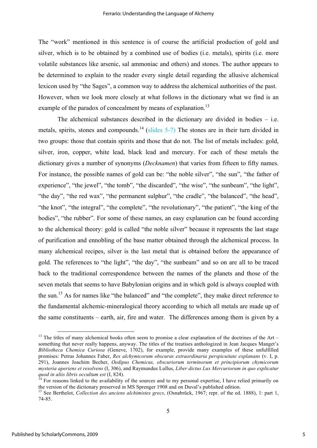The "work" mentioned in this sentence is of course the artificial production of gold and silver, which is to be obtained by a combined use of bodies (i.e. metals), spirits (i.e. more volatile substances like arsenic, sal ammoniac and others) and stones. The author appears to be determined to explain to the reader every single detail regarding the allusive alchemical lexicon used by "the Sages", a common way to address the alchemical authorities of the past. However, when we look more closely at what follows in the dictionary what we find is an example of the paradox of concealment by means of explanation.<sup>13</sup>

The alchemical substances described in the dictionary are divided in bodies – i.e. metals, spirits, stones and compounds.<sup>14</sup> (slides 5-7) The stones are in their turn divided in two groups: those that contain spirits and those that do not. The list of metals includes: gold, silver, iron, copper, white lead, black lead and mercury. For each of these metals the dictionary gives a number of synonyms (*Decknamen*) that varies from fifteen to fifty names. For instance, the possible names of gold can be: "the noble silver", "the sun", "the father of experience", "the jewel", "the tomb", "the discarded", "the wise", "the sunbeam", "the light", "the day", "the red wax", "the permanent sulphur", "the cradle", "the balanced", "the head", "the knot", "the integral", "the complete", "the revolutionary", "the patient", "the king of the bodies", "the rubber". For some of these names, an easy explanation can be found according to the alchemical theory: gold is called "the noble silver" because it represents the last stage of purification and ennobling of the base matter obtained through the alchemical process. In many alchemical recipes, silver is the last metal that is obtained before the appearance of gold. The references to "the light", "the day", "the sunbeam" and so on are all to be traced back to the traditional correspondence between the names of the planets and those of the seven metals that seems to have Babylonian origins and in which gold is always coupled with the sun.<sup>15</sup> As for names like "the balanced" and "the complete", they make direct reference to the fundamental alchemic-mineralogical theory according to which all metals are made up of the same constituents – earth, air, fire and water. The differences among them is given by a

<sup>&</sup>lt;sup>13</sup> The titles of many alchemical books often seem to promise a clear explanation of the doctrines of the Art – something that never really happens, anyway. The titles of the treatises anthologized in Jean Jacques Manget's *Bibliotheca Chemica Curiosa* (Geneve, 1702), for example, provide many examples of these unfulfilled promises: Petrus Johannes Faber, *Res alchymicorum obscuras extraordinaria perspicuitate explanans* (v. I, p. 291), Joannes Joachim Becher, *Oedipus Chemicus, obscuriorum terminorum et principiorum chymicorum mysteria aperiens et resolvens* (I, 306), and Raymundus Lullus, *Liber dictus Lux Mercuriorum in quo explicatur*  quod in aliis libris occultum est (I, 824).<br><sup>14</sup> For reasons linked to the availability of the sources and to my personal expertise, I have relied primarily on

the version of the dictionary preserved in MS Sprenger 1908 and on Duval's published edition. <sup>15</sup> See Berthelot, *Collection des anciens alchimistes grecs*, (Osnabrück, 1967; repr. of the ed. 1888), 1: part 1,

<sup>74-85.</sup>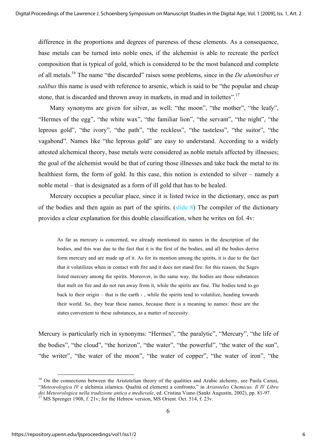difference in the proportions and degrees of pureness of these elements. As a consequence, base metals can be turned into noble ones, if the alchemist is able to recreate the perfect composition that is typical of gold, which is considered to be the most balanced and complete of all metals.16 The name "the discarded" raises some problems, since in the *De aluminibus et salibus* this name is used with reference to arsenic, which is said to be "the popular and cheap stone, that is discarded and thrown away in markets, in mud and in toilettes".<sup>17</sup>

Many synonyms are given for silver, as well: "the moon", "the mother", "the leafy", "Hermes of the egg", "the white wax", "the familiar lion", "the servant", "the night", "the leprous gold", "the ivory", "the path", "the reckless", "the tasteless", "the suitor", "the vagabond". Names like "the leprous gold" are easy to understand. According to a widely attested alchemical theory, base metals were considered as noble metals affected by illnesses; the goal of the alchemist would be that of curing those illnesses and take back the metal to its healthiest form, the form of gold. In this case, this notion is extended to silver – namely a noble metal – that is designated as a form of ill gold that has to be healed.

Mercury occupies a peculiar place, since it is listed twice in the dictionary, once as part of the bodies and then again as part of the spirits. (slide 8) The compiler of the dictionary provides a clear explanation for this double classification, when he writes on fol. 4v:

As far as mercury is concerned, we already mentioned its names in the description of the bodies, and this was due to the fact that it is the first of the bodies, and all the bodies derive form mercury and are made up of it. As for its mention among the spirits, it is due to the fact that it volatilizes when in contact with fire and it does not stand fire: for this reason, the Sages listed mercury among the spirits. Moreover, in the same way, the bodies are those substances that melt on fire and do not run away from it, while the spirits are fine. The bodies tend to go back to their origin – that is the earth - , while the spirits tend to volatilize, heading towards their world. So, they bear these names, because there is a meaning to names: these are the states convenient to these substances, as a matter of necessity.

Mercury is particularly rich in synonyms: "Hermes", "the paralytic", "Mercury", "the life of the bodies", "the cloud", "the horizon", "the water", "the powerful", "the water of the sun", "the writer", "the water of the moon", "the water of copper", "the water of iron", "the

<sup>&</sup>lt;sup>16</sup> On the connections between the Aristotelian theory of the qualities and Arabic alchemy, see Paola Carusi, "*Meteorologica IV* e alchimia islamica. Qualità ed elementi a confronto," in *Aristoteles Chemicus. Il IV Libro dei Meteorologica nella tradizione antica e medievale*, ed. Cristina Viano (Sankt Augustin, 2002), pp. 81-97. <sup>17</sup> MS Sprenger 1908, f. 21v; for the Hebrew version, MS Orient. Oct. 514, f. 23v.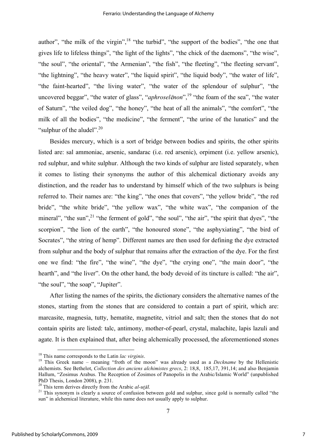author", "the milk of the virgin",  $18$  "the turbid", "the support of the bodies", "the one that gives life to lifeless things", "the light of the lights", "the chick of the daemons", "the wise", "the soul", "the oriental", "the Armenian", "the fish", "the fleeting", "the fleeting servant", "the lightning", "the heavy water", "the liquid spirit", "the liquid body", "the water of life", "the faint-hearted", "the living water", "the water of the splendour of sulphur", "the uncovered beggar", "the water of glass", "*aphroselēnon*",<sup>19</sup> "the foam of the sea", "the water of Saturn", "the veiled dog", "the honey", "the heat of all the animals", "the comfort", "the milk of all the bodies", "the medicine", "the ferment", "the urine of the lunatics" and the "sulphur of the aludel".<sup>20</sup>

Besides mercury, which is a sort of bridge between bodies and spirits, the other spirits listed are: sal ammoniac, arsenic, sandarac (i.e. red arsenic), orpiment (i.e. yellow arsenic), red sulphur, and white sulphur. Although the two kinds of sulphur are listed separately, when it comes to listing their synonyms the author of this alchemical dictionary avoids any distinction, and the reader has to understand by himself which of the two sulphurs is being referred to. Their names are: "the king", "the ones that covers", "the yellow bride", "the red bride", "the white bride", "the yellow wax", "the white wax", "the companion of the mineral", "the sun",<sup>21</sup> "the ferment of gold", "the soul", "the air", "the spirit that dyes", "the scorpion", "the lion of the earth", "the honoured stone", "the asphyxiating", "the bird of Socrates", "the string of hemp". Different names are then used for defining the dye extracted from sulphur and the body of sulphur that remains after the extraction of the dye. For the first one we find: "the fire", "the wine", "the dye", "the crying one", "the main door", "the hearth", and "the liver". On the other hand, the body devoid of its tincture is called: "the air", "the soul", "the soap", "Jupiter".

After listing the names of the spirits, the dictionary considers the alternative names of the stones, starting from the stones that are considered to contain a part of spirit, which are: marcasite, magnesia, tutty, hematite, magnetite, vitriol and salt; then the stones that do not contain spirits are listed: talc, antimony, mother-of-pearl, crystal, malachite, lapis lazuli and agate. It is then explained that, after being alchemically processed, the aforementioned stones

<sup>&</sup>lt;sup>18</sup> This name corresponds to the Latin *lac virginis*.<br><sup>19</sup> This Greek name – meaning "froth of the moon" was already used as a *Deckname* by the Hellenistic alchemists. See Bethelot, *Collection des anciens alchimistes grecs*, 2: 18,8, 185,17, 391,14; and also Benjamin Hallum, "Zosimus Arabus. The Reception of Zosimos of Panopolis in the Arabic/Islamic World" (unpublished PhD Thesis, London 2008), p. 231.<br><sup>20</sup> This term derives directly from the Arabic *al-ut*<sub>al</sub>.

<sup>&</sup>lt;sup>21</sup> This synonym is clearly a source of confusion between gold and sulphur, since gold is normally called "the sun" in alchemical literature, while this name does not usually apply to sulphur.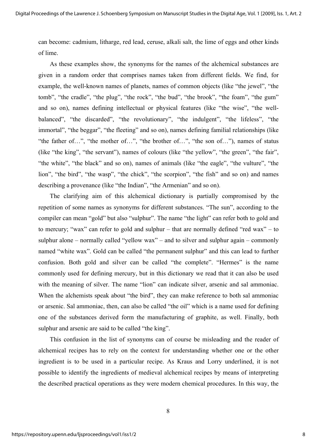can become: cadmium, litharge, red lead, ceruse, alkali salt, the lime of eggs and other kinds of lime.

As these examples show, the synonyms for the names of the alchemical substances are given in a random order that comprises names taken from different fields. We find, for example, the well-known names of planets, names of common objects (like "the jewel", "the tomb", "the cradle", "the plug", "the rock", "the bud", "the brook", "the foam", "the gum" and so on), names defining intellectual or physical features (like "the wise", "the wellbalanced", "the discarded", "the revolutionary", "the indulgent", "the lifeless", "the immortal", "the beggar", "the fleeting" and so on), names defining familial relationships (like "the father of…", "the mother of…", "the brother of…", "the son of…"), names of status (like "the king", "the servant"), names of colours (like "the yellow", "the green", "the fair", "the white", "the black" and so on), names of animals (like "the eagle", "the vulture", "the lion", "the bird", "the wasp", "the chick", "the scorpion", "the fish" and so on) and names describing a provenance (like "the Indian", "the Armenian" and so on).

The clarifying aim of this alchemical dictionary is partially compromised by the repetition of some names as synonyms for different substances. "The sun", according to the compiler can mean "gold" but also "sulphur". The name "the light" can refer both to gold and to mercury; "wax" can refer to gold and sulphur – that are normally defined "red wax" – to sulphur alone – normally called "yellow wax" – and to silver and sulphur again – commonly named "white wax". Gold can be called "the permanent sulphur" and this can lead to further confusion. Both gold and silver can be called "the complete". "Hermes" is the name commonly used for defining mercury, but in this dictionary we read that it can also be used with the meaning of silver. The name "lion" can indicate silver, arsenic and sal ammoniac. When the alchemists speak about "the bird", they can make reference to both sal ammoniac or arsenic. Sal ammoniac, then, can also be called "the oil" which is a name used for defining one of the substances derived form the manufacturing of graphite, as well. Finally, both sulphur and arsenic are said to be called "the king".

This confusion in the list of synonyms can of course be misleading and the reader of alchemical recipes has to rely on the context for understanding whether one or the other ingredient is to be used in a particular recipe. As Kraus and Lorry underlined, it is not possible to identify the ingredients of medieval alchemical recipes by means of interpreting the described practical operations as they were modern chemical procedures. In this way, the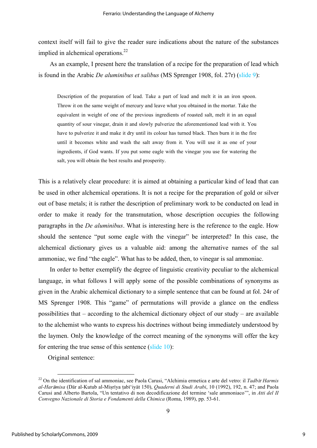context itself will fail to give the reader sure indications about the nature of the substances implied in alchemical operations. $^{22}$ 

As an example, I present here the translation of a recipe for the preparation of lead which is found in the Arabic *De aluminibus et salibus* (MS Sprenger 1908, fol. 27r) (slide 9):

Description of the preparation of lead. Take a part of lead and melt it in an iron spoon. Throw it on the same weight of mercury and leave what you obtained in the mortar. Take the equivalent in weight of one of the previous ingredients of roasted salt, melt it in an equal quantity of sour vinegar, drain it and slowly pulverize the aforementioned lead with it. You have to pulverize it and make it dry until its colour has turned black. Then burn it in the fire until it becomes white and wash the salt away from it. You will use it as one of your ingredients, if God wants. If you put some eagle with the vinegar you use for watering the salt, you will obtain the best results and prosperity.

This is a relatively clear procedure: it is aimed at obtaining a particular kind of lead that can be used in other alchemical operations. It is not a recipe for the preparation of gold or silver out of base metals; it is rather the description of preliminary work to be conducted on lead in order to make it ready for the transmutation, whose description occupies the following paragraphs in the *De aluminibus*. What is interesting here is the reference to the eagle. How should the sentence "put some eagle with the vinegar" be interpreted? In this case, the alchemical dictionary gives us a valuable aid: among the alternative names of the sal ammoniac, we find "the eagle". What has to be added, then, to vinegar is sal ammoniac.

In order to better exemplify the degree of linguistic creativity peculiar to the alchemical language, in what follows I will apply some of the possible combinations of synonyms as given in the Arabic alchemical dictionary to a simple sentence that can be found at fol. 24r of MS Sprenger 1908. This "game" of permutations will provide a glance on the endless possibilities that – according to the alchemical dictionary object of our study – are available to the alchemist who wants to express his doctrines without being immediately understood by the laymen. Only the knowledge of the correct meaning of the synonyms will offer the key for entering the true sense of this sentence (slide 10):

Original sentence:

 <sup>22</sup> On the identification of sal ammoniac, see Paola Carusi, "Alchimia ermetica e arte del vetro: il *Tadb*†r *Harmis*  al-Harāmisa (Dār al-Kutub al-Miṣrīya ṭabī'iyāt 150), *Quaderni di Studi Arabi*, 10 (1992), 192, n. 47; and Paola Carusi and Alberto Bartola, "Un tentativo di non decodificazione del termine 'sale ammoniaco'", in *Atti del II Convegno Nazionale di Storia e Fondamenti della Chimica* (Roma, 1989), pp. 53-61.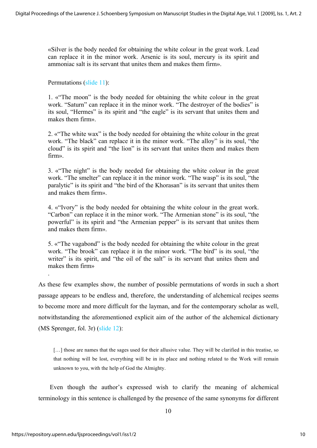«Silver is the body needed for obtaining the white colour in the great work. Lead can replace it in the minor work. Arsenic is its soul, mercury is its spirit and ammoniac salt is its servant that unites them and makes them firm».

Permutations (slide 11):

1. «"The moon" is the body needed for obtaining the white colour in the great work. "Saturn" can replace it in the minor work. "The destroyer of the bodies" is its soul, "Hermes" is its spirit and "the eagle" is its servant that unites them and makes them firm».

2. «"The white wax" is the body needed for obtaining the white colour in the great work. "The black" can replace it in the minor work. "The alloy" is its soul, "the cloud" is its spirit and "the lion" is its servant that unites them and makes them firm».

3. «"The night" is the body needed for obtaining the white colour in the great work. "The smelter" can replace it in the minor work. "The wasp" is its soul, "the paralytic" is its spirit and "the bird of the Khorasan" is its servant that unites them and makes them firm».

4. «"Ivory" is the body needed for obtaining the white colour in the great work. "Carbon" can replace it in the minor work. "The Armenian stone" is its soul, "the powerful" is its spirit and "the Armenian pepper" is its servant that unites them and makes them firm».

5. «"The vagabond" is the body needed for obtaining the white colour in the great work. "The brook" can replace it in the minor work. "The bird" is its soul, "the writer" is its spirit, and "the oil of the salt" is its servant that unites them and makes them firm»

As these few examples show, the number of possible permutations of words in such a short passage appears to be endless and, therefore, the understanding of alchemical recipes seems to become more and more difficult for the layman, and for the contemporary scholar as well, notwithstanding the aforementioned explicit aim of the author of the alchemical dictionary (MS Sprenger, fol. 3r) (slide 12):

[...] those are names that the sages used for their allusive value. They will be clarified in this treatise, so that nothing will be lost, everything will be in its place and nothing related to the Work will remain unknown to you, with the help of God the Almighty.

Even though the author's expressed wish to clarify the meaning of alchemical terminology in this sentence is challenged by the presence of the same synonyms for different

.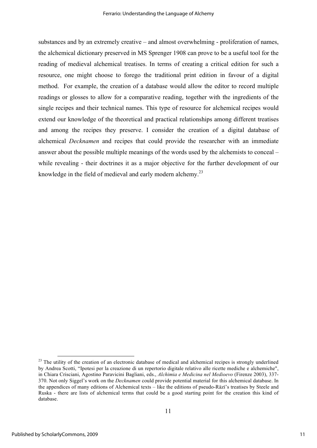substances and by an extremely creative – and almost overwhelming - proliferation of names, the alchemical dictionary preserved in MS Sprenger 1908 can prove to be a useful tool for the reading of medieval alchemical treatises. In terms of creating a critical edition for such a resource, one might choose to forego the traditional print edition in favour of a digital method. For example, the creation of a database would allow the editor to record multiple readings or glosses to allow for a comparative reading, together with the ingredients of the single recipes and their technical names. This type of resource for alchemical recipes would extend our knowledge of the theoretical and practical relationships among different treatises and among the recipes they preserve. I consider the creation of a digital database of alchemical *Decknamen* and recipes that could provide the researcher with an immediate answer about the possible multiple meanings of the words used by the alchemists to conceal – while revealing - their doctrines it as a major objective for the further development of our knowledge in the field of medieval and early modern alchemy.<sup>23</sup>

 $2<sup>23</sup>$  The utility of the creation of an electronic database of medical and alchemical recipes is strongly underlined by Andrea Scotti, "Ipotesi per la creazione di un repertorio digitale relativo alle ricette mediche e alchemiche", in Chiara Crisciani, Agostino Paravicini Bagliani, eds., *Alchimia e Medicina nel Medioevo* (Firenze 2003), 337- 370. Not only Siggel's work on the *Decknamen* could provide potential material for this alchemical database. In the appendices of many editions of Alchemical texts – like the editions of pseudo-Rāzī's treatises by Steele and Ruska - there are lists of alchemical terms that could be a good starting point for the creation this kind of database.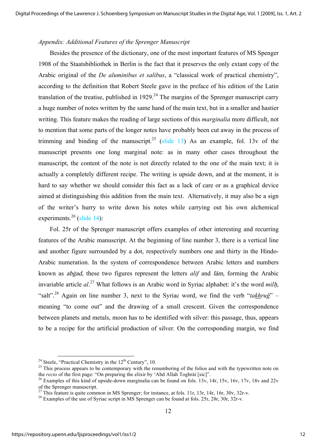#### *Appendix: Additional Features of the Sprenger Manuscript*

Besides the presence of the dictionary, one of the most important features of MS Spenger 1908 of the Staatsbibliothek in Berlin is the fact that it preserves the only extant copy of the Arabic original of the *De aluminibus et salibus*, a "classical work of practical chemistry", according to the definition that Robert Steele gave in the preface of his edition of the Latin translation of the treatise, published in  $1929$ .<sup>24</sup> The margins of the Sprenger manuscript carry a huge number of notes written by the same hand of the main text, but in a smaller and hastier writing. This feature makes the reading of large sections of this *marginalia* more difficult, not to mention that some parts of the longer notes have probably been cut away in the process of trimming and binding of the manuscript.<sup>25</sup> (slide 13) As an example, fol. 13v of the manuscript presents one long marginal note: as in many other cases throughout the manuscript, the content of the note is not directly related to the one of the main text; it is actually a completely different recipe. The writing is upside down, and at the moment, it is hard to say whether we should consider this fact as a lack of care or as a graphical device aimed at distinguishing this addition from the main text. Alternatively, it may also be a sign of the writer's hurry to write down his notes while carrying out his own alchemical experiments.<sup>26</sup> (slide 14):

Fol. 25r of the Sprenger manuscript offers examples of other interesting and recurring features of the Arabic manuscript. At the beginning of line number 3, there is a vertical line and another figure surrounded by a dot, respectively numbers one and thirty in the Hindo-Arabic numeration. In the system of correspondence between Arabic letters and numbers known as *abgad*, these two figures represent the letters *alif* and *lam*, forming the Arabic invariable article  $al^{27}$  What follows is an Arabic word in Syriac alphabet: it's the word *milh*, "salt".28 Again on line number 3, next to the Syriac word, we find the verb "*takhruǧ*" – meaning "to come out" and the drawing of a small crescent. Given the correspondence between planets and metals, moon has to be identified with silver: this passage, thus, appears to be a recipe for the artificial production of silver. On the corresponding margin, we find

<sup>&</sup>lt;sup>24</sup> Steele, "Practical Chemistry in the 12<sup>th</sup> Century", 10.<br><sup>25</sup> This process appears to be contemporary with the renumbering of the folios and with the typewritten note on the *recto* of the first page: "On preparing the elixir by 'Abd Allah Toghrái [sic]".<br><sup>26</sup> Examples of this kind of upside-down marginalia can be found on fols. 13v, 14r, 15v, 16v, 17v, 18v and 22v

of the Sprenger manuscript.<br><sup>27</sup> This feature is quite common in MS Sprenger; for instance, at fols. 11r, 13r, 14r, 16r, 30v, 32r-v.

<sup>&</sup>lt;sup>28</sup> Examples of the use of Syriac script in MS Sprenger can be found at fols. 25r, 28r, 30r, 32r-v.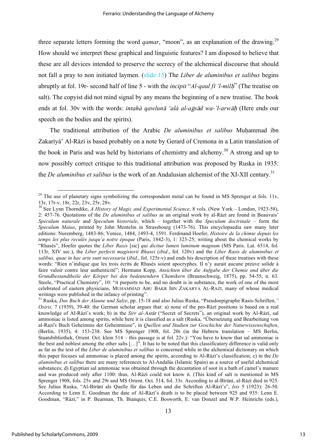three separate letters forming the word *qamar*, "moon", as an explanation of the drawing.<sup>29</sup> How should we interpret these graphical and linguistic features? I am disposed to believe that these are all devices intended to preserve the secrecy of the alchemical discourse that should not fall a pray to non initiated laymen. (slide 15) The *Liber de aluminibus et salibus* begins abruptly at fol. 19r- second half of line 5 - with the *incipit* "*Al-qaul f*† *'l-mil*|" (The treatise on salt). The copyist did not mind signal by any means the beginning of a new treatise. The book ends at fol. 30v with the words: *intahà qawlunā 'alà al-aḡsād wa-'l-arwāh* (Here ends our speech on the bodies and the spirits).

The traditional attribution of the Arabic *De aluminibus et salibus* Muhammad ibn Zakarīyā' Al-Rāzī is based probably on a note by Gerard of Cremona in a Latin translation of the book in Paris and was held by historians of chemistry and alchemy.<sup>30</sup> A strong and up to now possibly correct critique to this traditional attribution was proposed by Ruska in 1935: the *De aluminibus et salibus* is the work of an Andalusian alchemist of the XI-XII century.<sup>31</sup>

<sup>&</sup>lt;sup>29</sup> The use of planetary signs symbolizing the correspondent metal can be found in MS Sprenger at fols. 11v, 13r, 17r-v, 18r, 22r, 23v, 25r, 28v.

<sup>&</sup>lt;sup>30</sup> See Lynn Thorndike, *A History of Magic and Experimental Science*, 8 vols. (New York – London, 1923-58), 2: 457-76. Quotations of the *De aluminibus et salibus* as an original work by al-R…z† are found in Beauvais' *Speculum naturale* and *Speculum historiale*, which – together with the *Speculum doctrinale* – form the *Speculum Maius*, printed by John Mentelin in Strassbourg (1473-76). This encyclopaedia saw many later editions: Nuremberg, 1483-86; Venice, 1484, 1493-4, 1591. Ferdinand Hoefer, *Histoire de la chimie depuis les temps les plus reculés jusqu'a notre époque* (Paris, 1842-3), 1: 323-25; writing about the chemical works by "Rhasès", Hoefer quotes the *Liber Raxis* [sic] *qui dicitur lumen luminum magnum* (MS Paris. Lat. 6514, fol. 113r, XIV sec.), the *Liber perfecti magisterii Rhasei* (*ibid*., fol. 120v) and the *Liber Rasis de aluminibus et salibus, quae in hac arte sunt necessaria* (*ibid*., fol. 125r-v) and ends his description of these treatises with these words: "Rien n'indique que les trois écrits de Rhasès soient apocryphes. Il n'y aurait aucune preuve solide à faire valoir contre leur authenticité"; Hermann Kopp, *Ansichten über die Aufgabe der Chemie und über die Grundbestandtheile der Körper bei den bedeutendern Chemikern* (Braunschweig, 1875), pp. 54-55, n. 63. Steele, "Practical Chemistry", 10: "it purports to be, and no doubt is in substance, the work of one of the most celebrated of eastern physicians, MUHAMMAD ABU BAKR IBN ZAKARYA AL-RAZI, many of whose medical writings were published in the infancy of printing".

<sup>31</sup> Ruska, *Das Buch der Alaune und Salze*, pp. 15-18 and also Julius Ruska, "Pseudoepigraphe Rasis-Schriften,*" Osiris, 7* (1939), 39-40: the German scholar argues that: a) none of the pro-Raz<sub>i</sub> positions is based on a real knowledge of Al-Rāzī's work; b) in the *Sirr al-Asrār* ("Secret of Secrets"), an original work by Al-Rāzī, sal ammoniac is listed among spirits, while here it is classified as a salt (Ruska, "Übersetzung und Bearbeitung von al-Razi's Buch Geheimnis der Geheimnisse", in *Quellen und Studien zur Geschichte der Naturwissenschaften*, (Berlin, 1935), 4: 153-238. See MS Sprenger 1908, fol. 20r (in the Hebrew translation – MS Berlin, Staatsbibliothek, Orient. Oct. klein 514 – this passage is at fol. 22v.): "You have to know that sal ammoniac is the best and noblest among the other salts […]". It has to be noted that this classificatory difference is valid only as far as the text of the *Liber de aluminibus et salibus* is concerned while in the alchemical dictionary on which this paper focuses sal ammoniac is placed among the spirits, according to Al-Razi's classification; c) in the *De aluminibus et salibus* there are many references to Al-Andal™s (Islamic Spain) as a source of useful alchemical substances; d) Egyptian sal ammoniac was obtained through the decantation of soot in a bath of camel's manure and was produced only after 1100: thus, Al-Raz<sub>i</sub> could not know it. (This kind of salt is mentioned in MS Sprenger 1908, fols. 25y and 29r and MS Orient. Oct. 514, fol. 33r. According to al-Bīrūnī, al-Rāzī died in 925. See Julius Ruska, "Al-Bīrūnī als Quelle für das Leben und die Schriften Al-Rāzī's", *Isis* 5 (1923): 26-50. According to Lenn E. Goodman the date of Al-Raz<sub>i</sub>'s death is to be placed between 925 and 935: Lenn E. Goodman, "Rāzī," in P. Bearman, Th. Bianquis, C.E. Bosworth, E. van Donzel and W.P. Heinrichs (eds.),